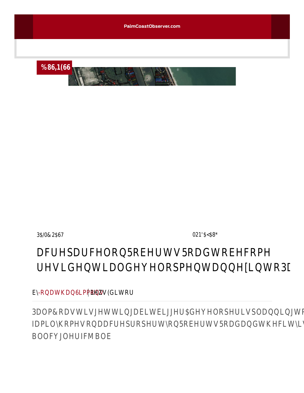

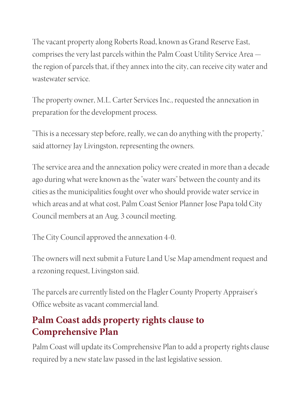The vacant property along Ro[berts Road, known](https://www.palmcoastobserver.com/) as Grand Reserve East, comprises the very last parcels within the Palm Coast Utility Service Area the region of parcels that, if they annex into the city, can receive city water and wastewater service.

The property owner, M.L. Carter Services Inc., requested the annexation in preparation for the development process.

"This is a necessary step before, really, we can do anything with the property," said attorney Jay Livingston, representing the owners.

The service area and the annexation policy were created in more than a decade ago during what were known as the "water wars" between the county and its cities as the municipalities fought over who should provide water service in [which a](https://www.palmcoastobserver.com/article/how-should-your-business-handle-the-latest-covid-surge-palm-coast-chamber-to-host-zoom-conference)reas and at what cost, Palm Coast Senior Planner Jose Papa told City Council members at an Aug. 3 council meeting.

The City Council approved the annexation 4-0.

The owners will next submit a Future Land Use Map amendment request and a rezoning request, Livingston said.

The parcels are currently listed on the Flagler County Property Appraiser's Office website as vacant commercial land.

## **Palm Coast adds property rights clause to Comprehensive Plan**

Palm Coast will update its Comprehensive Plan to add a property rights clause required by a new state law passed in the last legislative session.